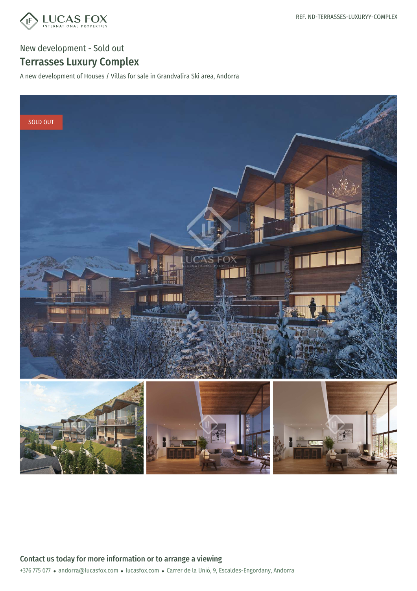

New development - Sold out

## Terrasses Luxury Complex

A new development of Houses / Villas for sale in Grandvalira Ski area, Andorra

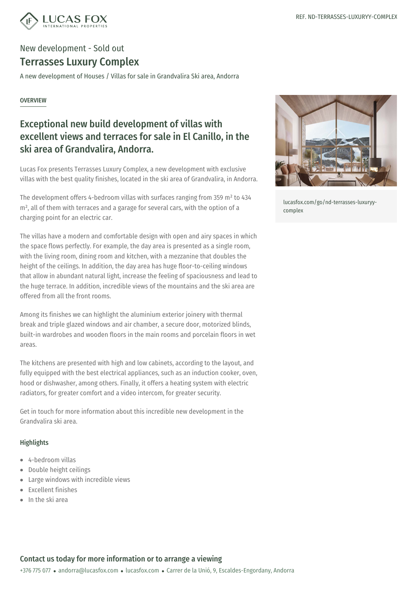

# New development - Sold out

### Terrasses Luxury Complex

A new development of Houses / Villas for sale in Grandvalira Ski area, Andorra

#### **OVERVIEW**

### Exceptional new build development of villas with excellent views and terraces for sale in El Canillo, in the ski area of Grandvalira, Andorra.

Lucas Fox presents Terrasses Luxury Complex, a new development with exclusive villas with the best quality finishes, located in the ski area of Grandvalira, in Andorra.

The development offers 4-bedroom villas with surfaces ranging from 359 m² to 434 m<sup>2</sup>, all of them with terraces and a garage for several cars, with the option of a charging point for an electric car.

The villas have a modern and comfortable design with open and airy spaces in which the space flows perfectly. For example, the day area is presented as a single room, with the living room, dining room and kitchen, with a mezzanine that doubles the height of the ceilings. In addition, the day area has huge floor-to-ceiling windows that allow in abundant natural light, increase the feeling of spaciousness and lead to the huge terrace. In addition, incredible views of the mountains and the ski area are offered from all the front rooms.

Among its finishes we can highlight the aluminium exterior joinery with thermal break and triple glazed windows and air chamber, a secure door, motorized blinds, built-in wardrobes and wooden floors in the main rooms and porcelain floors in wet areas.

The kitchens are presented with high and low cabinets, according to the layout, and fully equipped with the best electrical appliances, such as an induction cooker, oven, hood or dishwasher, among others. Finally, it offers a heating system with electric radiators, for greater comfort and a video intercom, for greater security.

Get in touch for more information about this incredible new development in the Grandvalira ski area.

#### Highlights

- 4-bedroom villas
- Double height ceilings  $\bullet$  .
- Large windows with [incredible](mailto:andorra@lucasfox.com) vie[ws](https://www.lucasfox.com)  $\bullet$  .
- Excellent finishes
- $\bullet$  In the ski area



[lucasfox.com/go/nd-terrasses-luxuryy](https://www.lucasfox.com/go/nd-terrasses-luxuryy-complex)complex

#### Contact us today for more information or to arrange a viewing